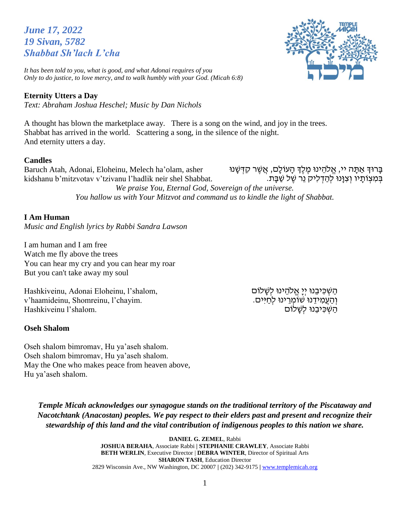*June 17, 2022 19 Sivan, 5782 Shabbat Sh'lach L'cha*

*It has been told to you, what is good, and what Adonai requires of you Only to do justice, to love mercy, and to walk humbly with your God. (Micah 6:8)*

## **Eternity Utters a Day**

*Text: Abraham Joshua Heschel; Music by Dan Nichols*

A thought has blown the marketplace away. There is a song on the wind, and joy in the trees. Shabbat has arrived in the world. Scattering a song, in the silence of the night. And eternity utters a day.

### **Candles**

Baruch Atah, Adonai, Eloheinu, Melech ha'olam, asher kidshanu b'mitzvotav v'tzivanu l'hadlik neir shel Shabbat. בָּרוּדְ אַתָּה יי, אֱלֹהֵינוּ מֵלֵדְ הָעוֹלָם, אֲשֶׁר קִדְּשָּׁנוּ בְּמְצְוֹתַיו וְצְוָּנוּ לְהַדְּלִיק נֵר שֶׁל שַׁבָּת. *We praise You, Eternal God, Sovereign of the universe.*

*You hallow us with Your Mitzvot and command us to kindle the light of Shabbat.*

## **I Am Human**

*Music and English lyrics by Rabbi Sandra Lawson*

I am human and I am free Watch me fly above the trees You can hear my cry and you can hear my roar But you can't take away my soul

Hashkiveinu, Adonai Eloheinu, l'shalom, v'haamideinu, Shomreinu, l'chayim. Hashkiveinu l'shalom.

### **Oseh Shalom**

Oseh shalom bimromav, Hu ya'aseh shalom. Oseh shalom bimromav, Hu ya'aseh shalom. May the One who makes peace from heaven above, Hu ya'aseh shalom.

הַשְׁכִּיבֶנוּ יְיָ אֱלֹהֵינוּ לִשָּׁלוֹם ּוְהַעֲמִידֵנוּ שׁוֹמְרֵינוּ לְחַיִּים. השִׁכּיבנוּ לשִׁלוֹם

*Temple Micah acknowledges our synagogue stands on the traditional territory of the Piscataway and Nacotchtank (Anacostan) peoples. We pay respect to their elders past and present and recognize their stewardship of this land and the vital contribution of indigenous peoples to this nation we share.*

> **DANIEL G. ZEMEL**, Rabbi **JOSHUA BERAHA**, Associate Rabbi **| STEPHANIE CRAWLEY**, Associate Rabbi **BETH WERLIN**, Executive Director | **DEBRA WINTER**, Director of Spiritual Arts **SHARON TASH**, Education Director 2829 Wisconsin Ave., NW Washington, DC 20007 **|** (202) 342-9175 **|** [www.templemicah.org](http://www.templemicah.org/)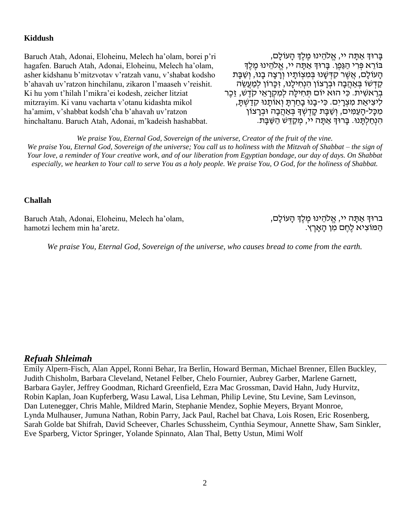### **Kiddush**

Baruch Atah, Adonai, Eloheinu, Melech ha'olam, borei p'ri hagafen. Baruch Atah, Adonai, Eloheinu, Melech ha'olam, asher kidshanu b'mitzvotav v'ratzah vanu, v'shabat kodsho b'ahavah uv'ratzon hinchilanu, zikaron l'maaseh v'reishit. Ki hu yom t'hilah l'mikra'ei kodesh, zeicher litziat mitzrayim. Ki vanu vacharta v'otanu kidashta mikol ha'amim, v'shabbat kodsh'cha b'ahavah uv'ratzon hinchaltanu. Baruch Atah, Adonai, m'kadeish hashabbat.

ַבְּרוּדְ אַתַּה יי, אֱלֹהֱינוּ מֶלֶדְ הַעוֹלַם, בּוֹרֵא פִּרְי הַגַּפֵן. בָּרוּךְ אַתָּה יי, אֱלֹהֵינוּ מֵלֵךְ הַעֹוֹלָם, אֲשֶׁר קִדְּשָׁנוּ בְּמִצְוֹתַיו וְרַצָּה בָנוּ, וְשַׁבָּת קַדְּשׁוֹ בְּאַהֲבָה וּבְרַצוֹן הִנְחִילֵנוּ, זִכֲרוֹן לִמְעֵשֶׂה בְּרָאשִׁית. כִּי הוּא יוֹם תִּחִילַה לִמְקָרָאֵי קֹדָשׁ, זֶכֶר לִיצִיאַת מִצְרָיִם. כִּי-בָנוּ בָחַרִתָּ וְאוֹתָנוּ קִדַשְׁתָּ, מִכָּל-הָעַמִּים, וְשַׁבָּת קָדְשְׁךָ בְּאַהֲבָה וּבְרָצוֹן הִנְחַלְתָּנוּ. בָּרוּךְ אַתָּה יי, מִקַדֵּשׁ הַשַּׁבַּת.

*We praise You, Eternal God, Sovereign of the universe, Creator of the fruit of the vine. We praise You, Eternal God, Sovereign of the universe; You call us to holiness with the Mitzvah of Shabbat – the sign of Your love, a reminder of Your creative work, and of our liberation from Egyptian bondage, our day of days. On Shabbat especially, we hearken to Your call to serve You as a holy people. We praise You, O God, for the holiness of Shabbat.*

#### **Challah**

Baruch Atah, Adonai, Eloheinu, Melech ha'olam, hamotzi lechem min ha'aretz.

ברוּךְ אַתָּה יי, אֱלֹהֵינוּ מֶלֶךְ הָעוֹלָם, הַ מֹוצִ יא לֶחֶ ם מִ ן הָּ אָּ רֶ ץ.

*We praise You, Eternal God, Sovereign of the universe, who causes bread to come from the earth.*

# *Refuah Shleimah*

Emily Alpern-Fisch, Alan Appel, Ronni Behar, Ira Berlin, Howard Berman, Michael Brenner, Ellen Buckley, Judith Chisholm, Barbara Cleveland, Netanel Felber, Chelo Fournier, Aubrey Garber, Marlene Garnett, Barbara Gayler, Jeffrey Goodman, Richard Greenfield, Ezra Mac Grossman, David Hahn, Judy Hurvitz, Robin Kaplan, Joan Kupferberg, Wasu Lawal, Lisa Lehman, Philip Levine, Stu Levine, Sam Levinson, Dan Lutenegger, Chris Mahle, Mildred Marin, Stephanie Mendez, Sophie Meyers, Bryant Monroe, Lynda Mulhauser, Jumuna Nathan, Robin Parry, Jack Paul, Rachel bat Chava, Lois Rosen, Eric Rosenberg, Sarah Golde bat Shifrah, David Scheever, Charles Schussheim, Cynthia Seymour, Annette Shaw, Sam Sinkler, Eve Sparberg, Victor Springer, Yolande Spinnato, Alan Thal, Betty Ustun, Mimi Wolf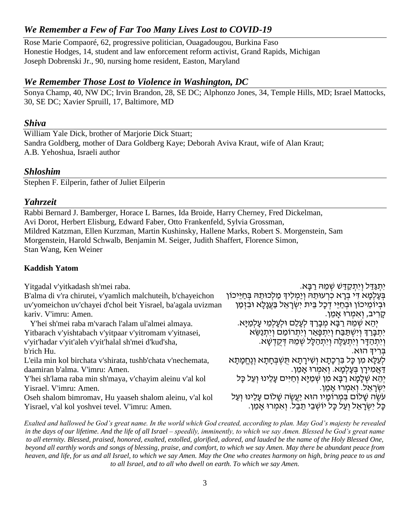# *We Remember a Few of Far Too Many Lives Lost to COVID-19*

Rose Marie Compaoré, 62, progressive politician, Ouagadougou, Burkina Faso Honestie Hodges, 14, student and law enforcement reform activist, Grand Rapids, Michigan Joseph Dobrenski Jr., 90, nursing home resident, Easton, Maryland

# *We Remember Those Lost to Violence in Washington, DC*

Sonya Champ, 40, NW DC; Irvin Brandon, 28, SE DC; Alphonzo Jones, 34, Temple Hills, MD; Israel Mattocks, 30, SE DC; Xavier Spruill, 17, Baltimore, MD

## *Shiva*

William Yale Dick, brother of Marjorie Dick Stuart; Sandra Goldberg, mother of Dara Goldberg Kaye; Deborah Aviva Kraut, wife of Alan Kraut; A.B. Yehoshua, Israeli author

# *Shloshim*

Stephen F. Eilperin, father of Juliet Eilperin

## *Yahrzeit*

Rabbi Bernard J. Bamberger, Horace L Barnes, Ida Broide, Harry Cherney, Fred Dickelman, Avi Dorot, Herbert Elisburg, Edward Faber, Otto Frankenfeld, Sylvia Grossman, Mildred Katzman, Ellen Kurzman, Martin Kushinsky, Hallene Marks, Robert S. Morgenstein, Sam Morgenstein, Harold Schwalb, Benjamin M. Seiger, Judith Shaffert, Florence Simon, Stan Wang, Ken Weiner

## **Kaddish Yatom**

Yitgadal v'yitkadash sh'mei raba. B'alma di v'ra chirutei, v'yamlich malchuteih, b'chayeichon uv'yomeichon uv'chayei d'chol beit Yisrael, ba'agala uvizman kariv. V'imru: Amen. Y'hei sh'mei raba m'varach l'alam ul'almei almaya. Yitbarach v'yishtabach v'yitpaar v'yitromam v'yitnasei, v'yit'hadar v'yit'aleh v'yit'halal sh'mei d'kud'sha, b'rich Hu. L'eila min kol birchata v'shirata, tushb'chata v'nechemata, daamiran b'alma. V'imru: Amen. Y'hei sh'lama raba min sh'maya, v'chayim aleinu v'al kol Yisrael. V'imru: Amen. Oseh shalom bimromav, Hu yaaseh shalom aleinu, v'al kol Yisrael, v'al kol yoshvei tevel. V'imru: Amen. יִתְּ גַדַ ל וְּ יִתְּ קַ דַ ש שְּ מֵ ּה רַ בָּא. בְּעַלְמַא דִּי בְרָא כְרְעוּתֵהּ וְיַמְלִידְ מַלְכוּתֵהּ בְּחַיֵּיכוֹן **ּוּבְיוֹמֵיכוֹן וּבְחַיֵּי דְּכָל בֵּית יִשְׂרַאֵל בַּעֲגַלַּא וּבִזְמַן** ַ קַרִיב, וְאִמְרוּ אַמֵן. ּיְהֵא שְׁמֵהּ רַבָּא מִבָּרַךְ לְעָלַם וּלְעָלְמֵי עַלְמַיַּא. יִתְבָּרַךְּ וְיִשְׁתַּבַּח וְיִתְפָּאַר וְיִתְרוֹמַם וְיִתְנַשֵּׂא וְיִתְּהַדָּר וְיִתְעַלֵּה וְיִתְהַלָּל שְׁמֵהּ דְּקֶדְשָָא. בּריד הוּא. לְעֵלָּא מִן כָּל בִּרְכָתָא וְשִׁירָתָא תַּשְׁבְּחַתַּא וְנֵחֱמַתַּא ַ דַּאֲמִירַן בְּעֲלְמָּא. וְאִמְרוּ אֲמֵן. ְּי ֵהא ְּש ָּל ָּמא ַר ָּבא ִמן ְּש ַמָּיא ְּו ַח ִיים ָּע ֵלינּו ְּוַעל ָּכל יִשְׂרָאֱל. וְאָמְרוּ אֲמֶן. עֹשֶׂה שָׁלֹוֹם בִּמְרוֹמָיו הוּא יַעֲשֶׂה שָׁלוֹם עָלֶינוּ וְעַל ָּכֵּל יִשְׂרָאֵל וְעַל כַּל יוֹשֶׁבֵי תֵבָל. וְאִמְרוּ אֲמֵן.

*Exalted and hallowed be God's great name. In the world which God created, according to plan. May God's majesty be revealed in the days of our lifetime. And the life of all Israel – speedily, imminently, to which we say Amen. Blessed be God's great name to all eternity. Blessed, praised, honored, exalted, extolled, glorified, adored, and lauded be the name of the Holy Blessed One, beyond all earthly words and songs of blessing, praise, and comfort, to which we say Amen. May there be abundant peace from heaven, and life, for us and all Israel, to which we say Amen. May the One who creates harmony on high, bring peace to us and to all Israel, and to all who dwell on earth. To which we say Amen.*